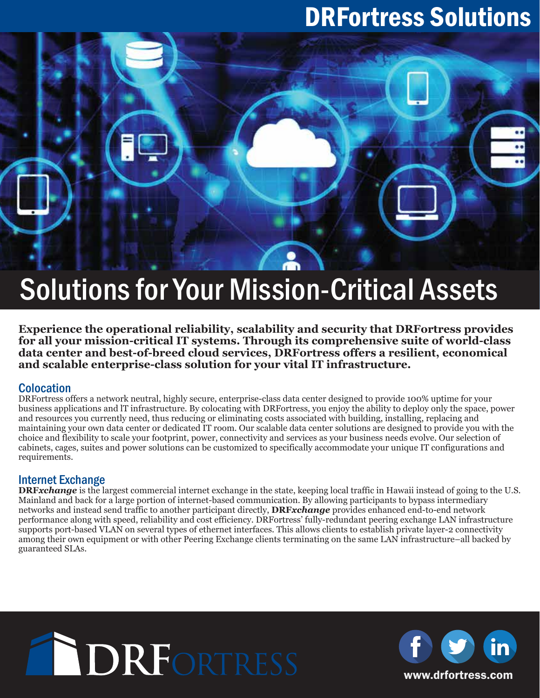## DRFortress Solutions

# Solutions for Your Mission-Critical Assets

**Experience the operational reliability, scalability and security that DRFortress provides for all your mission-critical IT systems. Through its comprehensive suite of world-class data center and best-of-breed cloud services, DRFortress offers a resilient, economical and scalable enterprise-class solution for your vital IT infrastructure.**

### Colocation

DRFortress offers a network neutral, highly secure, enterprise-class data center designed to provide 100% uptime for your business applications and lT infrastructure. By colocating with DRFortress, you enjoy the ability to deploy only the space, power and resources you currently need, thus reducing or eliminating costs associated with building, installing, replacing and maintaining your own data center or dedicated IT room. Our scalable data center solutions are designed to provide you with the choice and flexibility to scale your footprint, power, connectivity and services as your business needs evolve. Our selection of cabinets, cages, suites and power solutions can be customized to specifically accommodate your unique IT configurations and requirements.

## Internet Exchange

**DRF***xchange* is the largest commercial internet exchange in the state, keeping local traffic in Hawaii instead of going to the U.S. Mainland and back for a large portion of internet-based communication. By allowing participants to bypass intermediary networks and instead send traffic to another participant directly, **DRF***xchange* provides enhanced end-to-end network performance along with speed, reliability and cost efficiency. DRFortress' fully-redundant peering exchange LAN infrastructure supports port-based VLAN on several types of ethernet interfaces. This allows clients to establish private layer-2 connectivity among their own equipment or with other Peering Exchange clients terminating on the same LAN infrastructure–all backed by guaranteed SLAs.